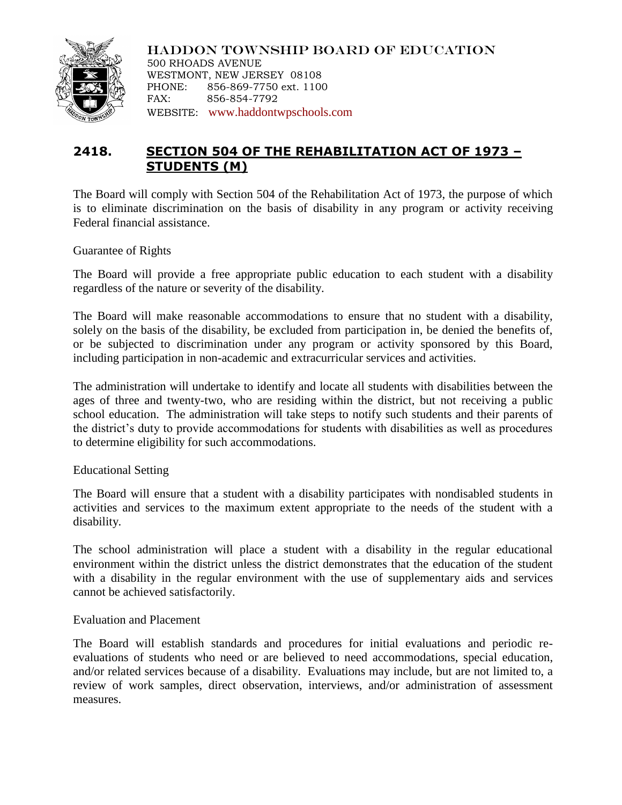

HADDON TOWNSHIP BOARD OF EDUCATION 500 RHOADS AVENUE WESTMONT, NEW JERSEY 08108 PHONE: 856-869-7750 ext. 1100 FAX: 856-854-7792 WEBSITE: [www.haddontwpschools.com](http://www.haddontwpschools.com/)

# **2418. SECTION 504 OF THE REHABILITATION ACT OF 1973 – STUDENTS (M)**

The Board will comply with Section 504 of the Rehabilitation Act of 1973, the purpose of which is to eliminate discrimination on the basis of disability in any program or activity receiving Federal financial assistance.

Guarantee of Rights

The Board will provide a free appropriate public education to each student with a disability regardless of the nature or severity of the disability.

The Board will make reasonable accommodations to ensure that no student with a disability, solely on the basis of the disability, be excluded from participation in, be denied the benefits of, or be subjected to discrimination under any program or activity sponsored by this Board, including participation in non-academic and extracurricular services and activities.

The administration will undertake to identify and locate all students with disabilities between the ages of three and twenty-two, who are residing within the district, but not receiving a public school education. The administration will take steps to notify such students and their parents of the district's duty to provide accommodations for students with disabilities as well as procedures to determine eligibility for such accommodations.

## Educational Setting

The Board will ensure that a student with a disability participates with nondisabled students in activities and services to the maximum extent appropriate to the needs of the student with a disability.

The school administration will place a student with a disability in the regular educational environment within the district unless the district demonstrates that the education of the student with a disability in the regular environment with the use of supplementary aids and services cannot be achieved satisfactorily.

## Evaluation and Placement

The Board will establish standards and procedures for initial evaluations and periodic reevaluations of students who need or are believed to need accommodations, special education, and/or related services because of a disability. Evaluations may include, but are not limited to, a review of work samples, direct observation, interviews, and/or administration of assessment measures.